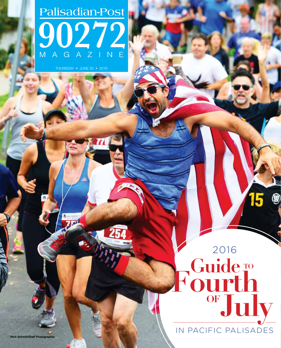# Palisadian-Post 90272 MAGAZINE

THURSDAY - JUNE 30 - 2016

In Pacific Palisades

**OFJuly**

**Guide Fourth**

Guide T

2016